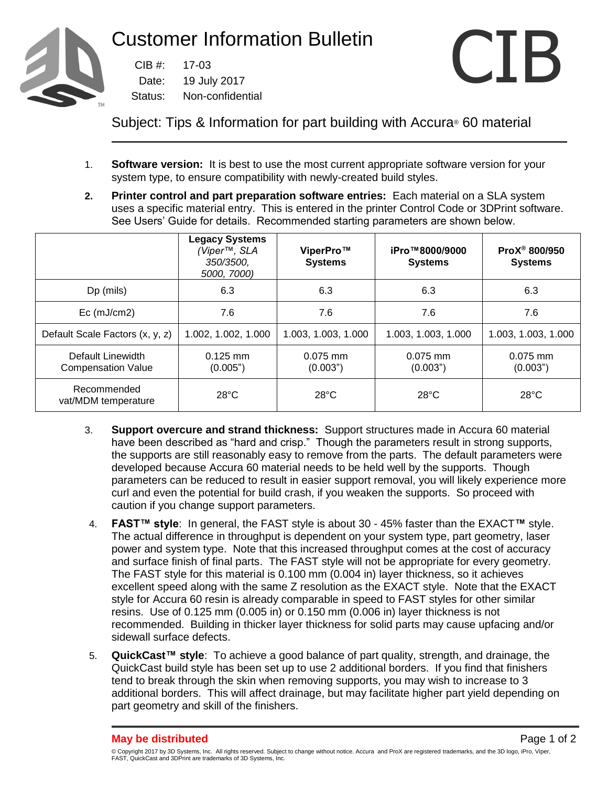

 $CIB$ #: 19 July 2017 Non-confidential



Subject: Tips & Information for part building with Accura® 60 material

- 1. **Software version:** It is best to use the most current appropriate software version for your system type, to ensure compatibility with newly-created build styles.
- **2. Printer control and part preparation software entries:** Each material on a SLA system uses a specific material entry. This is entered in the printer Control Code or 3DPrint software. See Users' Guide for details. Recommended starting parameters are shown below.

|                                                | <b>Legacy Systems</b><br>(Viper™, SLA<br>350/3500,<br>5000, 7000) | ViperPro™<br><b>Systems</b> | iPro™8000/9000<br><b>Systems</b> | ProX <sup>®</sup> 800/950<br><b>Systems</b> |
|------------------------------------------------|-------------------------------------------------------------------|-----------------------------|----------------------------------|---------------------------------------------|
| Dp (mils)                                      | 6.3                                                               | 6.3                         | 6.3                              | 6.3                                         |
| Ec (mJ/cm2)                                    | 7.6                                                               | 7.6                         | 7.6                              | 7.6                                         |
| Default Scale Factors (x, y, z)                | 1.002, 1.002, 1.000                                               | 1.003, 1.003, 1.000         | 1.003, 1.003, 1.000              | 1.003, 1.003, 1.000                         |
| Default Linewidth<br><b>Compensation Value</b> | $0.125$ mm<br>(0.005")                                            | $0.075$ mm<br>(0.003")      | $0.075$ mm<br>(0.003")           | $0.075$ mm<br>(0.003")                      |
| Recommended<br>vat/MDM temperature             | $28^{\circ}$ C                                                    | $28^{\circ}$ C              | $28^{\circ}$ C                   | $28^{\circ}$ C                              |

- 3. **Support overcure and strand thickness:** Support structures made in Accura 60 material have been described as "hard and crisp." Though the parameters result in strong supports, the supports are still reasonably easy to remove from the parts. The default parameters were developed because Accura 60 material needs to be held well by the supports. Though parameters can be reduced to result in easier support removal, you will likely experience more curl and even the potential for build crash, if you weaken the supports. So proceed with caution if you change support parameters.
- 4. **FAST™ style**: In general, the FAST style is about 30 45% faster than the EXACT**™** style. The actual difference in throughput is dependent on your system type, part geometry, laser power and system type. Note that this increased throughput comes at the cost of accuracy and surface finish of final parts. The FAST style will not be appropriate for every geometry. The FAST style for this material is 0.100 mm (0.004 in) layer thickness, so it achieves excellent speed along with the same Z resolution as the EXACT style. Note that the EXACT style for Accura 60 resin is already comparable in speed to FAST styles for other similar resins. Use of 0.125 mm (0.005 in) or 0.150 mm (0.006 in) layer thickness is not recommended. Building in thicker layer thickness for solid parts may cause upfacing and/or sidewall surface defects.
- 5. **QuickCast™ style**: To achieve a good balance of part quality, strength, and drainage, the QuickCast build style has been set up to use 2 additional borders. If you find that finishers tend to break through the skin when removing supports, you may wish to increase to 3 additional borders. This will affect drainage, but may facilitate higher part yield depending on part geometry and skill of the finishers.

<sup>©</sup> Copyright 2017 by 3D Systems, Inc. All rights reserved. Subject to change without notice. Accura and ProX are registered trademarks, and the 3D logo, iPro, Viper, FAST, QuickCast and 3DPrint are trademarks of 3D Systems, Inc.